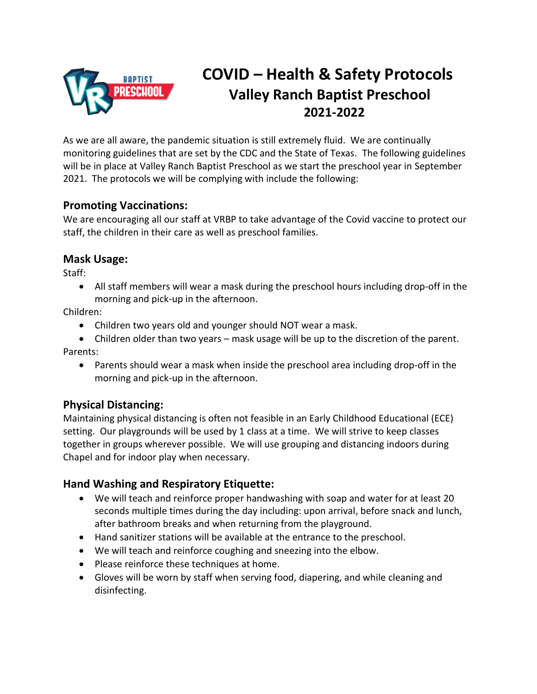

# **COVID – Health & Safety Protocols Valley Ranch Baptist Preschool 2021-2022**

As we are all aware, the pandemic situation is still extremely fluid. We are continually monitoring guidelines that are set by the CDC and the State of Texas. The following guidelines will be in place at Valley Ranch Baptist Preschool as we start the preschool year in September 2021. The protocols we will be complying with include the following:

#### **Promoting Vaccinations:**

We are encouraging all our staff at VRBP to take advantage of the Covid vaccine to protect our staff, the children in their care as well as preschool families.

#### **Mask Usage:**

Staff:

• All staff members will wear a mask during the preschool hours including drop-off in the morning and pick-up in the afternoon.

Children:

- Children two years old and younger should NOT wear a mask.
- Children older than two years mask usage will be up to the discretion of the parent. Parents:
	- Parents should wear a mask when inside the preschool area including drop-off in the morning and pick-up in the afternoon.

### **Physical Distancing:**

Maintaining physical distancing is often not feasible in an Early Childhood Educational (ECE) setting. Our playgrounds will be used by 1 class at a time. We will strive to keep classes together in groups wherever possible. We will use grouping and distancing indoors during Chapel and for indoor play when necessary.

### **Hand Washing and Respiratory Etiquette:**

- We will teach and reinforce proper handwashing with soap and water for at least 20 seconds multiple times during the day including: upon arrival, before snack and lunch, after bathroom breaks and when returning from the playground.
- Hand sanitizer stations will be available at the entrance to the preschool.
- We will teach and reinforce coughing and sneezing into the elbow.
- Please reinforce these techniques at home.
- Gloves will be worn by staff when serving food, diapering, and while cleaning and disinfecting.